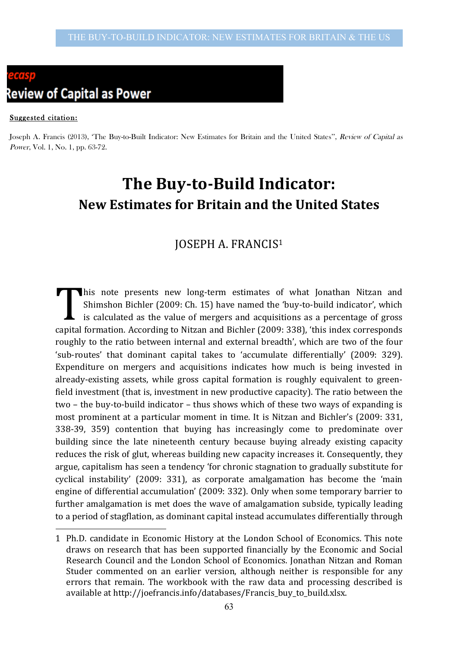# **Review of Capital as Power**

#### Suggested citation:

 $\overline{a}$ 

Joseph A. Francis (2013), 'The Buy-to-Built Indicator: New Estimates for Britain and the United States'', Review of Capital as Power, Vol. 1, No. 1, pp. 63-72.

# **The Buy-to-Build Indicator: New Estimates for Britain and the United States**

## **JOSEPH A. FRANCIS1**

This note presents new long-term estimates of what Jonathan Nitzan and Shimshon Bichler (2009: Ch. 15) have named the 'buy-to-build indicator', which is calculated as the value of mergers and acquisitions as a percentage of gross capital formation. According to Nitzan and Bichler (2009: 338), 'this index corresponds roughly to the ratio between internal and external breadth', which are two of the four 'sub-routes' that dominant capital takes to 'accumulate differentially' (2009: 329). Expenditure on mergers and acquisitions indicates how much is being invested in already-existing assets, while gross capital formation is roughly equivalent to greenfield investment (that is, investment in new productive capacity). The ratio between the two – the buy-to-build indicator – thus shows which of these two ways of expanding is most prominent at a particular moment in time. It is Nitzan and Bichler's (2009: 331, 338-39, 359) contention that buying has increasingly come to predominate over building since the late nineteenth century because buying already existing capacity reduces the risk of glut, whereas building new capacity increases it. Consequently, they argue, capitalism has seen a tendency 'for chronic stagnation to gradually substitute for cyclical instability' (2009: 331), as corporate amalgamation has become the 'main engine of differential accumulation' (2009: 332). Only when some temporary barrier to further amalgamation is met does the wave of amalgamation subside, typically leading to a period of stagflation, as dominant capital instead accumulates differentially through T

<sup>1</sup> Ph.D. candidate in Economic History at the London School of Economics. This note draws on research that has been supported financially by the Economic and Social Research Council and the London School of Economics. Jonathan Nitzan and Roman Studer commented on an earlier version, although neither is responsible for any errors that remain. The workbook with the raw data and processing described is available at http://joefrancis.info/databases/Francis\_buy\_to\_build.xlsx.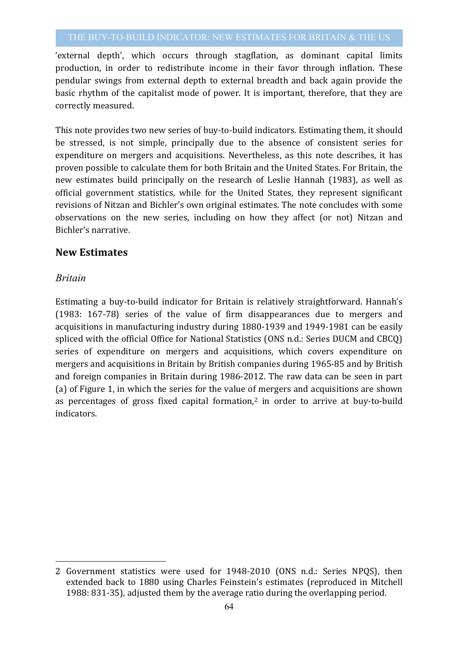'external depth', which occurs through stagflation, as dominant capital limits production, in order to redistribute income in their favor through inflation. These pendular swings from external depth to external breadth and back again provide the basic rhythm of the capitalist mode of power. It is important, therefore, that they are correctly measured.

This note provides two new series of buy-to-build indicators. Estimating them, it should be stressed, is not simple, principally due to the absence of consistent series for expenditure on mergers and acquisitions. Nevertheless, as this note describes, it has proven possible to calculate them for both Britain and the United States. For Britain, the new estimates build principally on the research of Leslie Hannah (1983), as well as official government statistics, while for the United States, they represent significant revisions of Nitzan and Bichler's own original estimates. The note concludes with some observations on the new series, including on how they affect (or not) Nitzan and Bichler's narrative.

#### **New Estimates**

#### *Britain*

 $\overline{a}$ 

Estimating a buy-to-build indicator for Britain is relatively straightforward. Hannah's (1983: 167-78) series of the value of firm disappearances due to mergers and acquisitions in manufacturing industry during 1880-1939 and 1949-1981 can be easily spliced with the official Office for National Statistics (ONS n.d.: Series DUCM and CBCO) series of expenditure on mergers and acquisitions, which covers expenditure on mergers and acquisitions in Britain by British companies during 1965-85 and by British and foreign companies in Britain during 1986-2012. The raw data can be seen in part (a) of Figure 1, in which the series for the value of mergers and acquisitions are shown as percentages of gross fixed capital formation,<sup>2</sup> in order to arrive at buy-to-build indicators.

<sup>2</sup> Government statistics were used for 1948-2010 (ONS n.d.: Series NPOS), then extended back to 1880 using Charles Feinstein's estimates (reproduced in Mitchell 1988: 831-35), adjusted them by the average ratio during the overlapping period.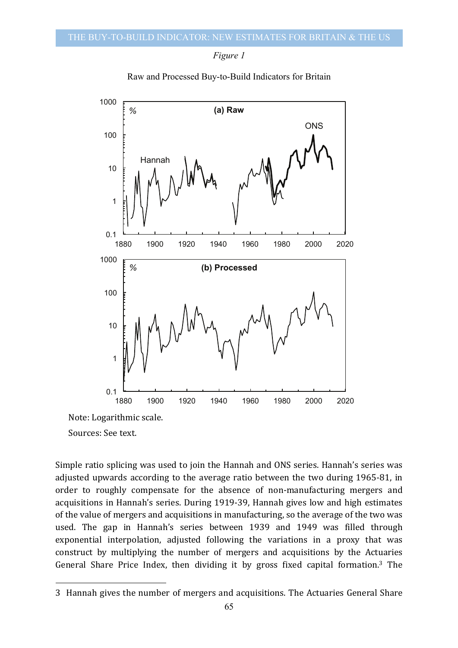



Raw and Processed Buy-to-Build Indicators for Britain

Sources: See text.

 $\overline{a}$ 

Simple ratio splicing was used to join the Hannah and ONS series. Hannah's series was adjusted upwards according to the average ratio between the two during 1965-81, in order to roughly compensate for the absence of non-manufacturing mergers and acquisitions in Hannah's series. During 1919-39, Hannah gives low and high estimates of the value of mergers and acquisitions in manufacturing, so the average of the two was used. The gap in Hannah's series between 1939 and 1949 was filled through exponential interpolation, adjusted following the variations in a proxy that was construct by multiplying the number of mergers and acquisitions by the Actuaries General Share Price Index, then dividing it by gross fixed capital formation.<sup>3</sup> The

<sup>3</sup> Hannah gives the number of mergers and acquisitions. The Actuaries General Share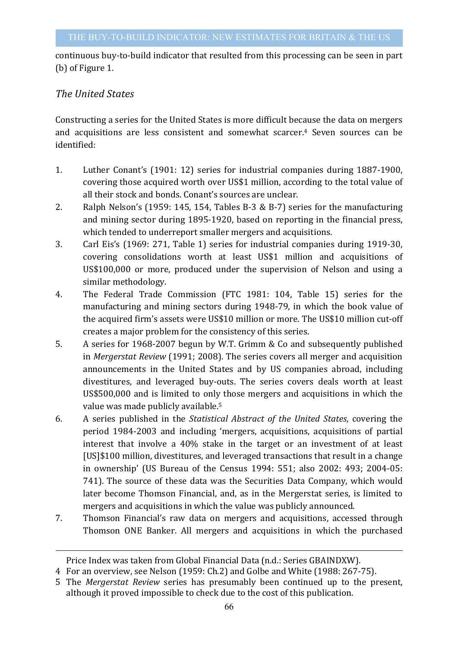continuous buy-to-build indicator that resulted from this processing can be seen in part (b) of Figure 1.

### **The United States**

 $\overline{a}$ 

Constructing a series for the United States is more difficult because the data on mergers and acquisitions are less consistent and somewhat scarcer.<sup>4</sup> Seven sources can be identified:

- 1. Luther Conant's (1901: 12) series for industrial companies during 1887-1900, covering those acquired worth over US\$1 million, according to the total value of all their stock and bonds. Conant's sources are unclear.
- 2. Ralph Nelson's (1959: 145, 154, Tables B-3 & B-7) series for the manufacturing and mining sector during 1895-1920, based on reporting in the financial press, which tended to underreport smaller mergers and acquisitions.
- 3. Carl Eis's (1969: 271, Table 1) series for industrial companies during 1919-30, covering consolidations worth at least US\$1 million and acquisitions of US\$100,000 or more, produced under the supervision of Nelson and using a similar methodology.
- 4. The Federal Trade Commission (FTC 1981: 104, Table 15) series for the manufacturing and mining sectors during 1948-79, in which the book value of the acquired firm's assets were US\$10 million or more. The US\$10 million cut-off creates a major problem for the consistency of this series.
- 5. A series for 1968-2007 begun by W.T. Grimm & Co and subsequently published in *Mergerstat Review* (1991; 2008). The series covers all merger and acquisition announcements in the United States and by US companies abroad, including divestitures, and leveraged buy-outs. The series covers deals worth at least US\$500,000 and is limited to only those mergers and acquisitions in which the value was made publicly available.<sup>5</sup>
- 6. A series published in the *Statistical Abstract of the United States*, covering the period 1984-2003 and including 'mergers, acquisitions, acquisitions of partial interest that involve a 40% stake in the target or an investment of at least [US]\$100 million, divestitures, and leveraged transactions that result in a change in ownership' (US Bureau of the Census  $1994: 551$ ; also  $2002: 493$ ;  $2004-05$ : 741). The source of these data was the Securities Data Company, which would later become Thomson Financial, and, as in the Mergerstat series, is limited to mergers and acquisitions in which the value was publicly announced.
- 7. Thomson Financial's raw data on mergers and acquisitions, accessed through Thomson ONE Banker. All mergers and acquisitions in which the purchased

Price Index was taken from Global Financial Data (n.d.: Series GBAINDXW).

<sup>4</sup> For an overview, see Nelson (1959: Ch.2) and Golbe and White (1988: 267-75).

<sup>5</sup> The *Mergerstat Review* series has presumably been continued up to the present, although it proved impossible to check due to the cost of this publication.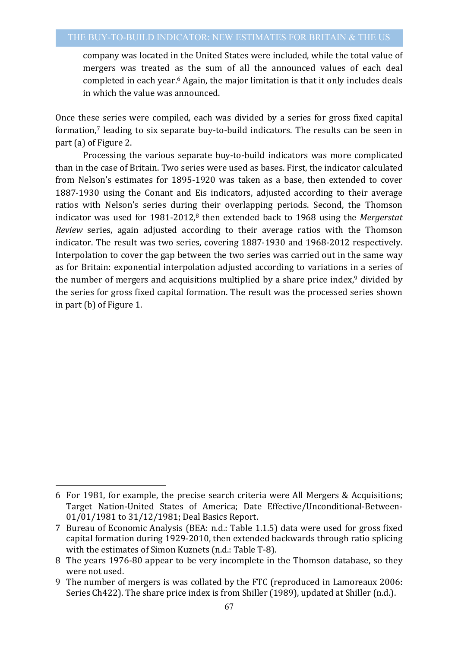company was located in the United States were included, while the total value of mergers was treated as the sum of all the announced values of each deal completed in each year.<sup>6</sup> Again, the major limitation is that it only includes deals in which the value was announced.

Once these series were compiled, each was divided by a series for gross fixed capital formation, $7$  leading to six separate buy-to-build indicators. The results can be seen in part (a) of Figure 2.

Processing the various separate buy-to-build indicators was more complicated than in the case of Britain. Two series were used as bases. First, the indicator calculated from Nelson's estimates for 1895-1920 was taken as a base, then extended to cover 1887-1930 using the Conant and Eis indicators, adjusted according to their average ratios with Nelson's series during their overlapping periods. Second, the Thomson indicator was used for 1981-2012,<sup>8</sup> then extended back to 1968 using the *Mergerstat Review* series, again adjusted according to their average ratios with the Thomson indicator. The result was two series, covering 1887-1930 and 1968-2012 respectively. Interpolation to cover the gap between the two series was carried out in the same way as for Britain: exponential interpolation adjusted according to variations in a series of the number of mergers and acquisitions multiplied by a share price index, $9$  divided by the series for gross fixed capital formation. The result was the processed series shown in part  $(b)$  of Figure 1.

 $\overline{a}$ 

<sup>6</sup> For 1981, for example, the precise search criteria were All Mergers & Acquisitions; Target Nation-United States of America; Date Effective/Unconditional-Between-01/01/1981 to 31/12/1981; Deal Basics Report.

<sup>7</sup> Bureau of Economic Analysis (BEA: n.d.: Table 1.1.5) data were used for gross fixed capital formation during 1929-2010, then extended backwards through ratio splicing with the estimates of Simon Kuznets (n.d.: Table T-8).

<sup>8</sup> The years 1976-80 appear to be very incomplete in the Thomson database, so they were not used.

<sup>9</sup> The number of mergers is was collated by the FTC (reproduced in Lamoreaux 2006: Series Ch422). The share price index is from Shiller (1989), updated at Shiller (n.d.).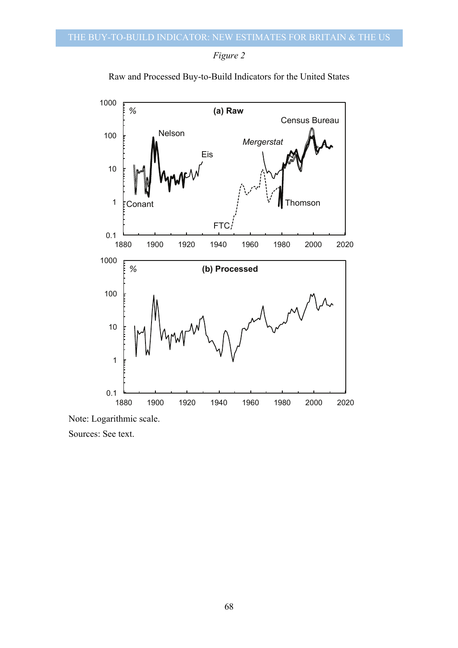

Raw and Processed Buy-to-Build Indicators for the United States



Note: Logarithmic scale.

Sources: See text.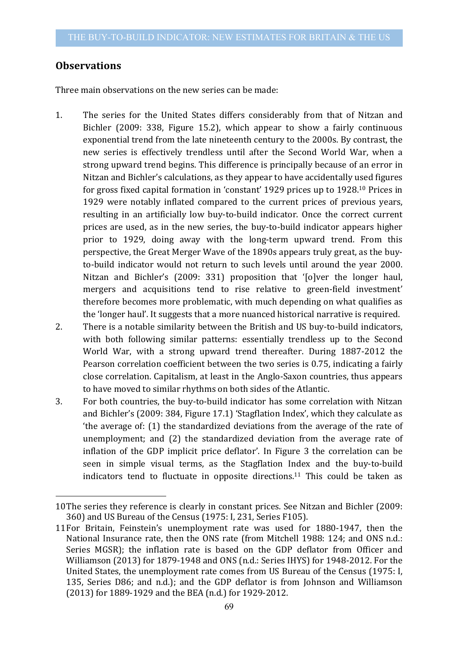#### **Observations**

 $\overline{a}$ 

Three main observations on the new series can be made:

- 1. The series for the United States differs considerably from that of Nitzan and Bichler (2009: 338, Figure 15.2), which appear to show a fairly continuous exponential trend from the late nineteenth century to the 2000s. By contrast, the new series is effectively trendless until after the Second World War, when a strong upward trend begins. This difference is principally because of an error in Nitzan and Bichler's calculations, as they appear to have accidentally used figures for gross fixed capital formation in 'constant' 1929 prices up to  $1928$ .<sup>10</sup> Prices in 1929 were notably inflated compared to the current prices of previous years, resulting in an artificially low buy-to-build indicator. Once the correct current prices are used, as in the new series, the buy-to-build indicator appears higher prior to 1929, doing away with the long-term upward trend. From this perspective, the Great Merger Wave of the 1890s appears truly great, as the buyto-build indicator would not return to such levels until around the year 2000. Nitzan and Bichler's (2009: 331) proposition that '[o]ver the longer haul, mergers and acquisitions tend to rise relative to green-field investment' therefore becomes more problematic, with much depending on what qualifies as the 'longer haul'. It suggests that a more nuanced historical narrative is required.
- 2. There is a notable similarity between the British and US buy-to-build indicators, with both following similar patterns: essentially trendless up to the Second World War, with a strong upward trend thereafter. During 1887-2012 the Pearson correlation coefficient between the two series is 0.75, indicating a fairly close correlation. Capitalism, at least in the Anglo-Saxon countries, thus appears to have moved to similar rhythms on both sides of the Atlantic.
- 3. For both countries, the buy-to-build indicator has some correlation with Nitzan and Bichler's (2009: 384, Figure 17.1) 'Stagflation Index', which they calculate as 'the average of: (1) the standardized deviations from the average of the rate of unemployment; and (2) the standardized deviation from the average rate of inflation of the GDP implicit price deflator'. In Figure 3 the correlation can be seen in simple visual terms, as the Stagflation Index and the buy-to-build indicators tend to fluctuate in opposite directions.<sup>11</sup> This could be taken as

<sup>10</sup>The series they reference is clearly in constant prices. See Nitzan and Bichler (2009: 360) and US Bureau of the Census (1975: I, 231, Series F105).

<sup>11</sup>For Britain, Feinstein's unemployment rate was used for 1880-1947, then the National Insurance rate, then the ONS rate (from Mitchell 1988: 124; and ONS n.d.: Series MGSR); the inflation rate is based on the GDP deflator from Officer and Williamson (2013) for 1879-1948 and ONS (n.d.: Series IHYS) for 1948-2012. For the United States, the unemployment rate comes from US Bureau of the Census (1975: I, 135, Series D86; and n.d.); and the GDP deflator is from Johnson and Williamson (2013) for 1889-1929 and the BEA (n.d.) for 1929-2012.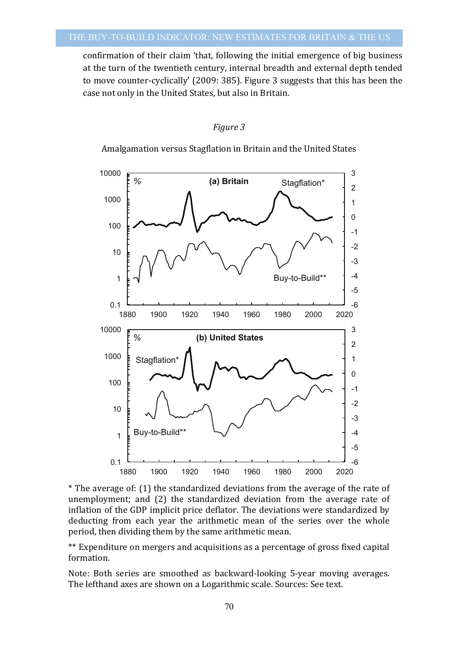confirmation of their claim 'that, following the initial emergence of big business at the turn of the twentieth century, internal breadth and external depth tended to move counter-cyclically' (2009: 385). Figure 3 suggests that this has been the case not only in the United States, but also in Britain.

#### *Figure 3*

Amalgamation versus Stagflation in Britain and the United States





\*\* Expenditure on mergers and acquisitions as a percentage of gross fixed capital formation.

Note: Both series are smoothed as backward-looking 5-year moving averages. The lefthand axes are shown on a Logarithmic scale. Sources: See text.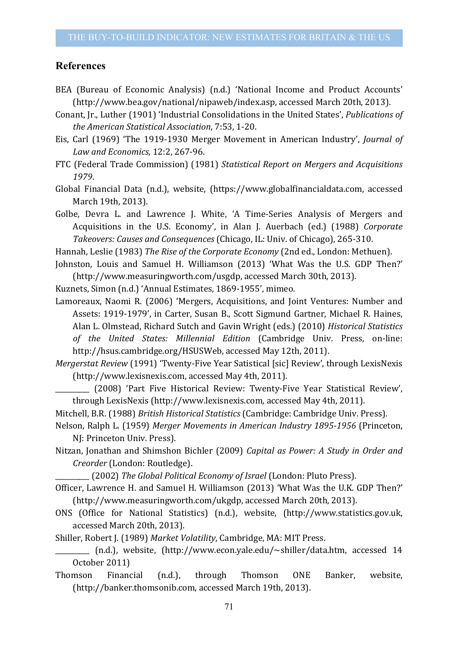#### **References**

- BEA (Bureau of Economic Analysis) (n.d.) 'National Income and Product Accounts' (http://www.bea.gov/national/nipaweb/index.asp, accessed March 20th, 2013).
- Conant, Jr., Luther (1901) 'Industrial Consolidations in the United States', *Publications of the American Statistical Association*, 7:53, 1-20.
- Eis, Carl (1969) 'The 1919-1930 Merger Movement in American Industry', *Journal of Law and Economics*, 12:2, 267-96.
- FTC (Federal Trade Commission) (1981) *Statistical Report on Mergers and Acquisitions 1979*.

Global Financial Data (n.d.), website, (https://www.globalfinancialdata.com, accessed March 19th, 2013).

Golbe, Devra L. and Lawrence J. White, 'A Time-Series Analysis of Mergers and Acquisitions in the U.S. Economy', in Alan J. Auerbach (ed.) (1988) *Corporate Takeovers: Causes and Consequences* (Chicago, IL: Univ. of Chicago), 265-310.

Hannah, Leslie (1983) The Rise of the Corporate Economy (2nd ed., London: Methuen).

Johnston, Louis and Samuel H. Williamson (2013) 'What Was the U.S. GDP Then?' (http://www.measuringworth.com/usgdp, accessed March 30th, 2013).

Kuznets, Simon (n.d.) 'Annual Estimates, 1869-1955', mimeo.

Lamoreaux, Naomi R. (2006) 'Mergers, Acquisitions, and Joint Ventures: Number and Assets: 1919-1979', in Carter, Susan B., Scott Sigmund Gartner, Michael R. Haines, Alan L. Olmstead, Richard Sutch and Gavin Wright (eds.) (2010) *Historical Statistics of the United States: Millennial Edition*  (Cambridge Univ. Press, on-line: http://hsus.cambridge.org/HSUSWeb, accessed May 12th, 2011).

*Mergerstat Review* (1991) 'Twenty-Five Year Satistical [sic] Review', through LexisNexis (http://www.lexisnexis.com, accessed May 4th, 2011).

\_\_\_\_\_\_\_\_\_\_ (2008) 'Part Five Historical Review: Twenty-Five Year Statistical Review', through LexisNexis (http://www.lexisnexis.com, accessed May 4th, 2011).

Mitchell, B.R. (1988) *British Historical Statistics* (Cambridge: Cambridge Univ. Press).

Nelson, Ralph L. (1959) Merger Movements in American Industry 1895-1956 (Princeton, NJ: Princeton Univ. Press).

Nitzan, Jonathan and Shimshon Bichler (2009) *Capital as Power: A Study in Order and Creorder* (London: Routledge).

\_\_\_\_\_\_\_\_\_\_ (2002) *The Global Political Economy of Israel* (London: Pluto Press).

- Officer, Lawrence H. and Samuel H. Williamson (2013) 'What Was the U.K. GDP Then?' (http://www.measuringworth.com/ukgdp, accessed March 20th, 2013).
- ONS (Office for National Statistics) (n.d.), website, (http://www.statistics.gov.uk, accessed March 20th, 2013).
- Shiller, Robert J. (1989) Market Volatility, Cambridge, MA: MIT Press.
- \_\_\_\_\_\_\_\_\_\_ (n.d.), website, (http://www.econ.yale.edu/~shiller/data.htm, accessed 14 October 2011)
- Thomson Financial (n.d.), through Thomson ONE Banker, website, (http://banker.thomsonib.com, accessed March 19th, 2013).